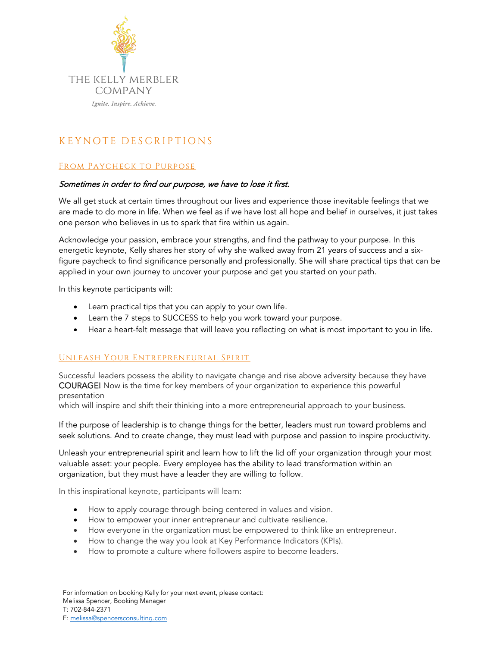

# **K E YNOT E DE SCRI PTION S**

## From Paycheck to Purpose

#### Sometimes in order to find our purpose, we have to lose it first.

We all get stuck at certain times throughout our lives and experience those inevitable feelings that we are made to do more in life. When we feel as if we have lost all hope and belief in ourselves, it just takes one person who believes in us to spark that fire within us again.

Acknowledge your passion, embrace your strengths, and find the pathway to your purpose. In this energetic keynote, Kelly shares her story of why she walked away from 21 years of success and a sixfigure paycheck to find significance personally and professionally. She will share practical tips that can be applied in your own journey to uncover your purpose and get you started on your path.

In this keynote participants will:

- Learn practical tips that you can apply to your own life.
- Learn the 7 steps to SUCCESS to help you work toward your purpose.
- Hear a heart-felt message that will leave you reflecting on what is most important to you in life.

## Unleash Your Entrepreneurial Spirit

Successful leaders possess the ability to navigate change and rise above adversity because they have COURAGE! Now is the time for key members of your organization to experience this powerful presentation

which will inspire and shift their thinking into a more entrepreneurial approach to your business.

If the purpose of leadership is to change things for the better, leaders must run toward problems and seek solutions. And to create change, they must lead with purpose and passion to inspire productivity.

Unleash your entrepreneurial spirit and learn how to lift the lid off your organization through your most valuable asset: your people. Every employee has the ability to lead transformation within an organization, but they must have a leader they are willing to follow.

In this inspirational keynote, participants will learn:

- How to apply courage through being centered in values and vision.
- How to empower your inner entrepreneur and cultivate resilience.
- How everyone in the organization must be empowered to think like an entrepreneur.
- How to change the way you look at Key Performance Indicators (KPIs).
- How to promote a culture where followers aspire to become leaders.